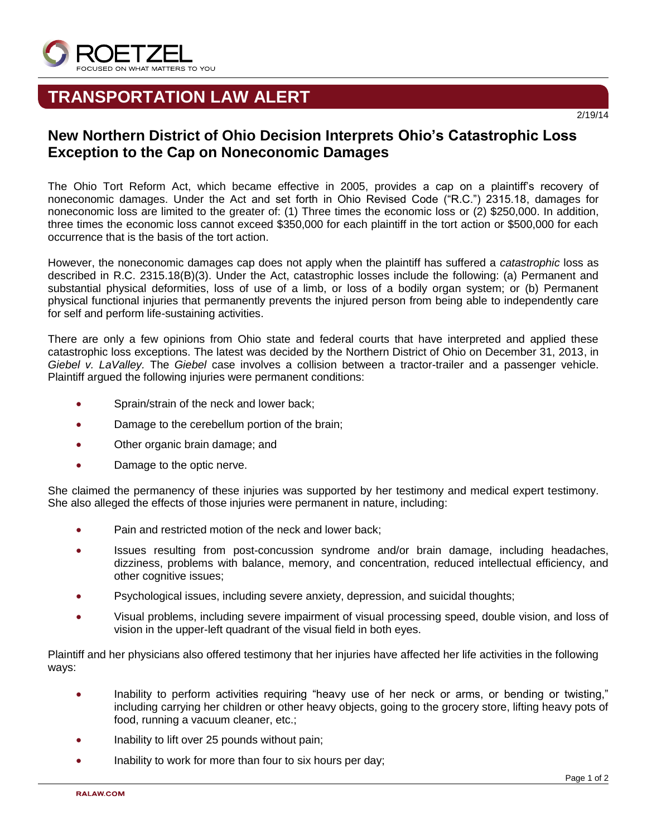

## **TRANSPORTATION LAW ALERT**

## **New Northern District of Ohio Decision Interprets Ohio's Catastrophic Loss Exception to the Cap on Noneconomic Damages**

The Ohio Tort Reform Act, which became effective in 2005, provides a cap on a plaintiff's recovery of noneconomic damages. Under the Act and set forth in Ohio Revised Code ("R.C.") 2315.18, damages for noneconomic loss are limited to the greater of: (1) Three times the economic loss or (2) \$250,000. In addition, three times the economic loss cannot exceed \$350,000 for each plaintiff in the tort action or \$500,000 for each occurrence that is the basis of the tort action.

However, the noneconomic damages cap does not apply when the plaintiff has suffered a *catastrophic* loss as described in R.C. 2315.18(B)(3). Under the Act, catastrophic losses include the following: (a) Permanent and substantial physical deformities, loss of use of a limb, or loss of a bodily organ system; or (b) Permanent physical functional injuries that permanently prevents the injured person from being able to independently care for self and perform life-sustaining activities.

There are only a few opinions from Ohio state and federal courts that have interpreted and applied these catastrophic loss exceptions. The latest was decided by the Northern District of Ohio on December 31, 2013, in *Giebel v. LaValley.* The *Giebel* case involves a collision between a tractor-trailer and a passenger vehicle. Plaintiff argued the following injuries were permanent conditions:

- Sprain/strain of the neck and lower back;
- Damage to the cerebellum portion of the brain;
- Other organic brain damage; and
- Damage to the optic nerve.

She claimed the permanency of these injuries was supported by her testimony and medical expert testimony. She also alleged the effects of those injuries were permanent in nature, including:

- Pain and restricted motion of the neck and lower back:
- Issues resulting from post-concussion syndrome and/or brain damage, including headaches, dizziness, problems with balance, memory, and concentration, reduced intellectual efficiency, and other cognitive issues;
- Psychological issues, including severe anxiety, depression, and suicidal thoughts;
- Visual problems, including severe impairment of visual processing speed, double vision, and loss of vision in the upper-left quadrant of the visual field in both eyes.

Plaintiff and her physicians also offered testimony that her injuries have affected her life activities in the following ways:

- Inability to perform activities requiring "heavy use of her neck or arms, or bending or twisting," including carrying her children or other heavy objects, going to the grocery store, lifting heavy pots of food, running a vacuum cleaner, etc.;
- Inability to lift over 25 pounds without pain;
- Inability to work for more than four to six hours per day;